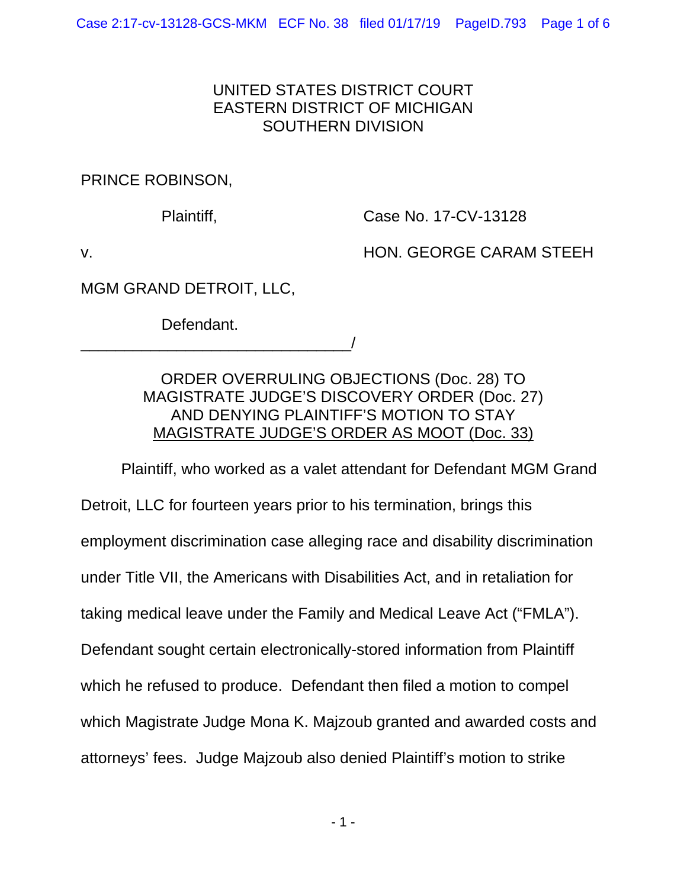## UNITED STATES DISTRICT COURT EASTERN DISTRICT OF MICHIGAN SOUTHERN DIVISION

PRINCE ROBINSON,

Plaintiff, Case No. 17-CV-13128

v. HON. GEORGE CARAM STEEH

MGM GRAND DETROIT, LLC,

Defendant.

\_\_\_\_\_\_\_\_\_\_\_\_\_\_\_\_\_\_\_\_\_\_\_\_\_\_\_\_\_\_\_/

ORDER OVERRULING OBJECTIONS (Doc. 28) TO MAGISTRATE JUDGE'S DISCOVERY ORDER (Doc. 27) AND DENYING PLAINTIFF'S MOTION TO STAY MAGISTRATE JUDGE'S ORDER AS MOOT (Doc. 33)

 Plaintiff, who worked as a valet attendant for Defendant MGM Grand Detroit, LLC for fourteen years prior to his termination, brings this employment discrimination case alleging race and disability discrimination under Title VII, the Americans with Disabilities Act, and in retaliation for taking medical leave under the Family and Medical Leave Act ("FMLA"). Defendant sought certain electronically-stored information from Plaintiff which he refused to produce. Defendant then filed a motion to compel which Magistrate Judge Mona K. Majzoub granted and awarded costs and attorneys' fees. Judge Majzoub also denied Plaintiff's motion to strike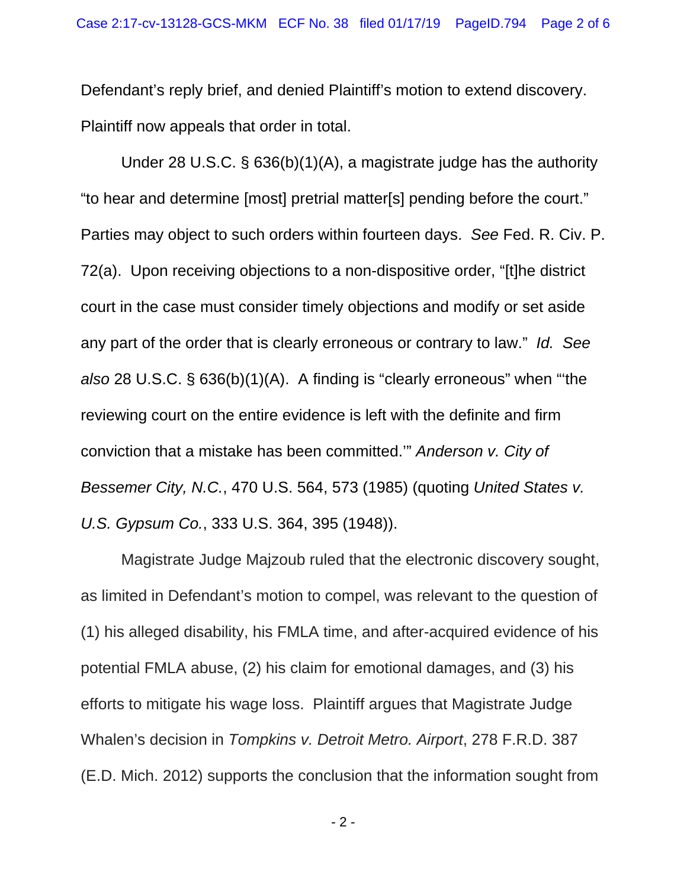Defendant's reply brief, and denied Plaintiff's motion to extend discovery. Plaintiff now appeals that order in total.

Under 28 U.S.C. § 636(b)(1)(A), a magistrate judge has the authority "to hear and determine [most] pretrial matter[s] pending before the court." Parties may object to such orders within fourteen days. *See* Fed. R. Civ. P. 72(a). Upon receiving objections to a non-dispositive order, "[t]he district court in the case must consider timely objections and modify or set aside any part of the order that is clearly erroneous or contrary to law." *Id. See also* 28 U.S.C. § 636(b)(1)(A). A finding is "clearly erroneous" when "'the reviewing court on the entire evidence is left with the definite and firm conviction that a mistake has been committed.'" *Anderson v. City of Bessemer City, N.C.*, 470 U.S. 564, 573 (1985) (quoting *United States v. U.S. Gypsum Co.*, 333 U.S. 364, 395 (1948)).

Magistrate Judge Majzoub ruled that the electronic discovery sought, as limited in Defendant's motion to compel, was relevant to the question of (1) his alleged disability, his FMLA time, and after-acquired evidence of his potential FMLA abuse, (2) his claim for emotional damages, and (3) his efforts to mitigate his wage loss. Plaintiff argues that Magistrate Judge Whalen's decision in *Tompkins v. Detroit Metro. Airport*, 278 F.R.D. 387 (E.D. Mich. 2012) supports the conclusion that the information sought from

- 2 -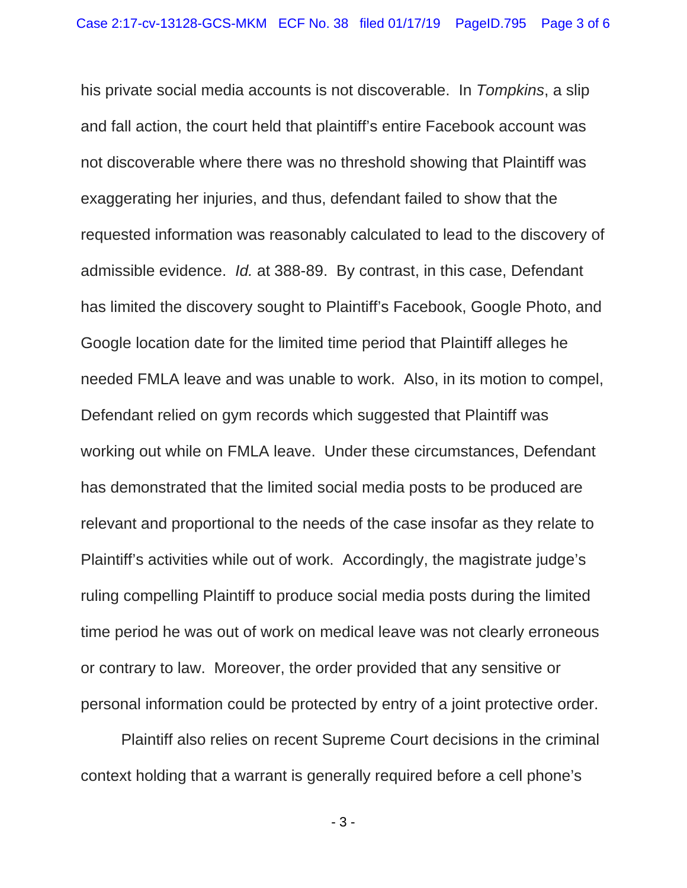his private social media accounts is not discoverable. In *Tompkins*, a slip and fall action, the court held that plaintiff's entire Facebook account was not discoverable where there was no threshold showing that Plaintiff was exaggerating her injuries, and thus, defendant failed to show that the requested information was reasonably calculated to lead to the discovery of admissible evidence. *Id.* at 388-89. By contrast, in this case, Defendant has limited the discovery sought to Plaintiff's Facebook, Google Photo, and Google location date for the limited time period that Plaintiff alleges he needed FMLA leave and was unable to work. Also, in its motion to compel, Defendant relied on gym records which suggested that Plaintiff was working out while on FMLA leave. Under these circumstances, Defendant has demonstrated that the limited social media posts to be produced are relevant and proportional to the needs of the case insofar as they relate to Plaintiff's activities while out of work. Accordingly, the magistrate judge's ruling compelling Plaintiff to produce social media posts during the limited time period he was out of work on medical leave was not clearly erroneous or contrary to law. Moreover, the order provided that any sensitive or personal information could be protected by entry of a joint protective order.

 Plaintiff also relies on recent Supreme Court decisions in the criminal context holding that a warrant is generally required before a cell phone's

- 3 -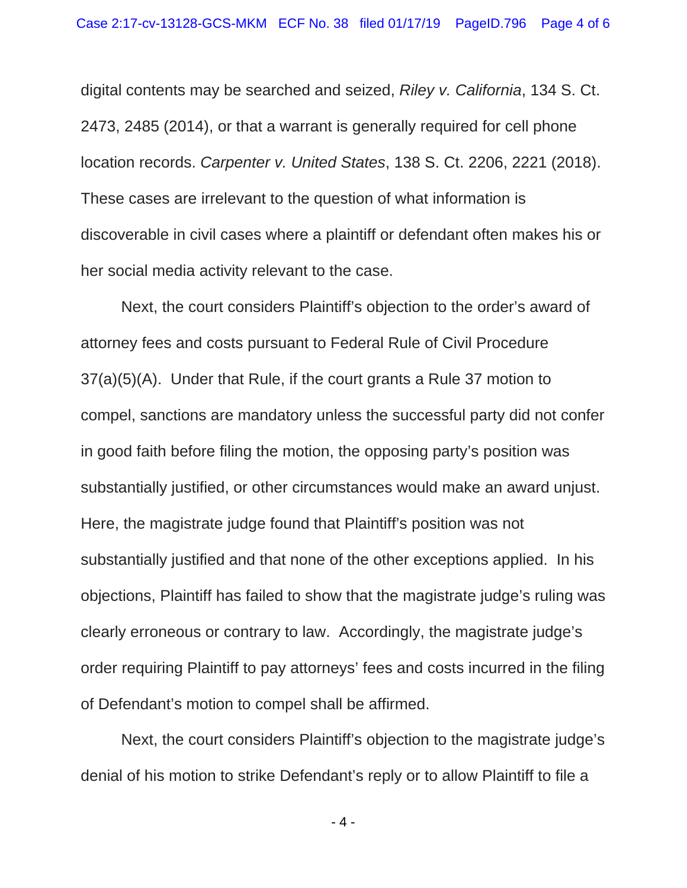digital contents may be searched and seized, *Riley v. California*, 134 S. Ct. 2473, 2485 (2014), or that a warrant is generally required for cell phone location records. *Carpenter v. United States*, 138 S. Ct. 2206, 2221 (2018). These cases are irrelevant to the question of what information is discoverable in civil cases where a plaintiff or defendant often makes his or her social media activity relevant to the case.

Next, the court considers Plaintiff's objection to the order's award of attorney fees and costs pursuant to Federal Rule of Civil Procedure 37(a)(5)(A). Under that Rule, if the court grants a Rule 37 motion to compel, sanctions are mandatory unless the successful party did not confer in good faith before filing the motion, the opposing party's position was substantially justified, or other circumstances would make an award unjust. Here, the magistrate judge found that Plaintiff's position was not substantially justified and that none of the other exceptions applied. In his objections, Plaintiff has failed to show that the magistrate judge's ruling was clearly erroneous or contrary to law. Accordingly, the magistrate judge's order requiring Plaintiff to pay attorneys' fees and costs incurred in the filing of Defendant's motion to compel shall be affirmed.

Next, the court considers Plaintiff's objection to the magistrate judge's denial of his motion to strike Defendant's reply or to allow Plaintiff to file a

- 4 -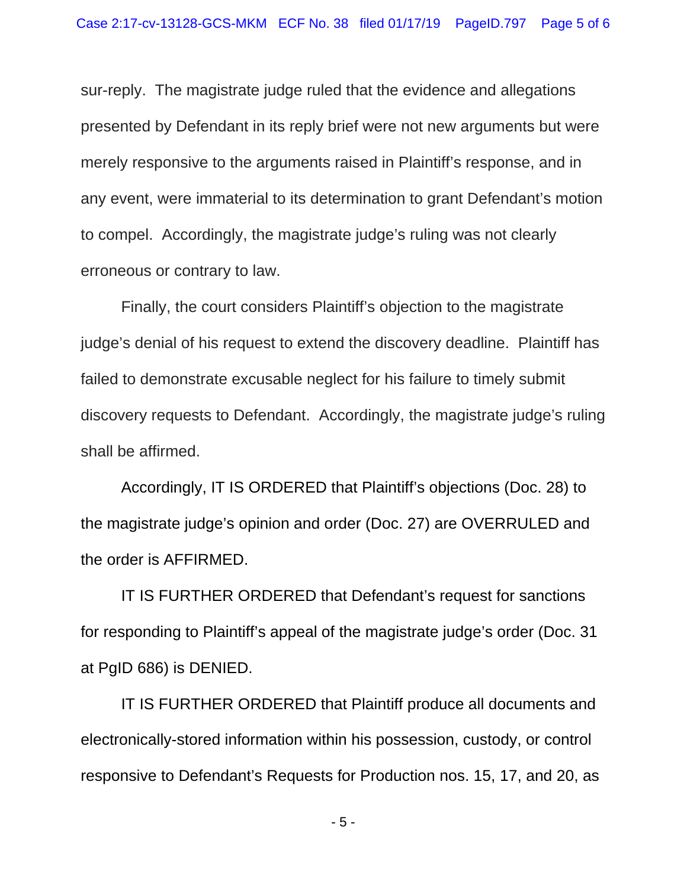sur-reply. The magistrate judge ruled that the evidence and allegations presented by Defendant in its reply brief were not new arguments but were merely responsive to the arguments raised in Plaintiff's response, and in any event, were immaterial to its determination to grant Defendant's motion to compel. Accordingly, the magistrate judge's ruling was not clearly erroneous or contrary to law.

Finally, the court considers Plaintiff's objection to the magistrate judge's denial of his request to extend the discovery deadline. Plaintiff has failed to demonstrate excusable neglect for his failure to timely submit discovery requests to Defendant. Accordingly, the magistrate judge's ruling shall be affirmed.

 Accordingly, IT IS ORDERED that Plaintiff's objections (Doc. 28) to the magistrate judge's opinion and order (Doc. 27) are OVERRULED and the order is AFFIRMED.

 IT IS FURTHER ORDERED that Defendant's request for sanctions for responding to Plaintiff's appeal of the magistrate judge's order (Doc. 31 at PgID 686) is DENIED.

 IT IS FURTHER ORDERED that Plaintiff produce all documents and electronically-stored information within his possession, custody, or control responsive to Defendant's Requests for Production nos. 15, 17, and 20, as

- 5 -